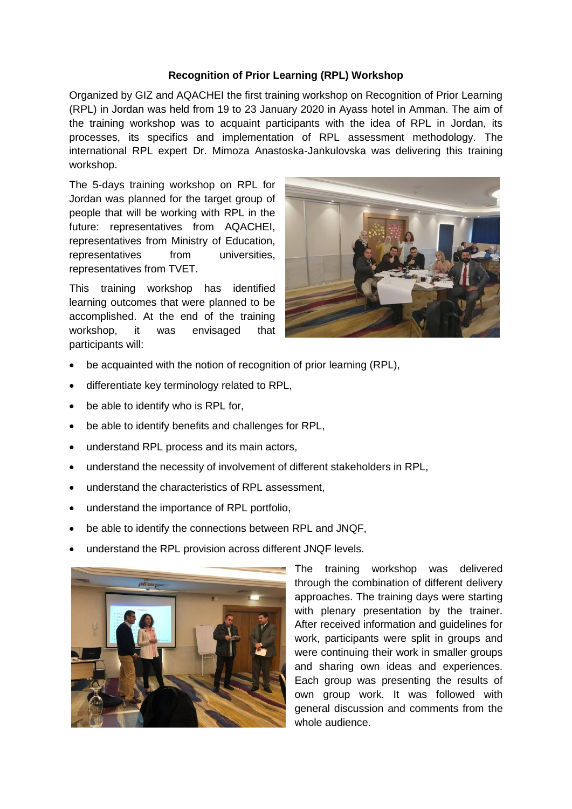## **Recognition of Prior Learning (RPL) Workshop**

Organized by GIZ and AQACHEI the first training workshop on Recognition of Prior Learning (RPL) in Jordan was held from 19 to 23 January 2020 in Ayass hotel in Amman. The aim of the training workshop was to acquaint participants with the idea of RPL in Jordan, its processes, its specifics and implementation of RPL assessment methodology. The international RPL expert Dr. Mimoza Anastoska-Jankulovska was delivering this training workshop.

The 5-days training workshop on RPL for Jordan was planned for the target group of people that will be working with RPL in the future: representatives from AQACHEI, representatives from Ministry of Education, representatives from universities, representatives from TVET.

This training workshop has identified learning outcomes that were planned to be accomplished. At the end of the training workshop, it was envisaged that participants will:



- be acquainted with the notion of recognition of prior learning (RPL).
- differentiate key terminology related to RPL,
- be able to identify who is RPL for,
- be able to identify benefits and challenges for RPL,
- understand RPL process and its main actors,
- understand the necessity of involvement of different stakeholders in RPL,
- understand the characteristics of RPL assessment,
- understand the importance of RPL portfolio,
- be able to identify the connections between RPL and JNQF,
- understand the RPL provision across different JNQF levels.



The training workshop was delivered through the combination of different delivery approaches. The training days were starting with plenary presentation by the trainer. After received information and guidelines for work, participants were split in groups and were continuing their work in smaller groups and sharing own ideas and experiences. Each group was presenting the results of own group work. It was followed with general discussion and comments from the whole audience.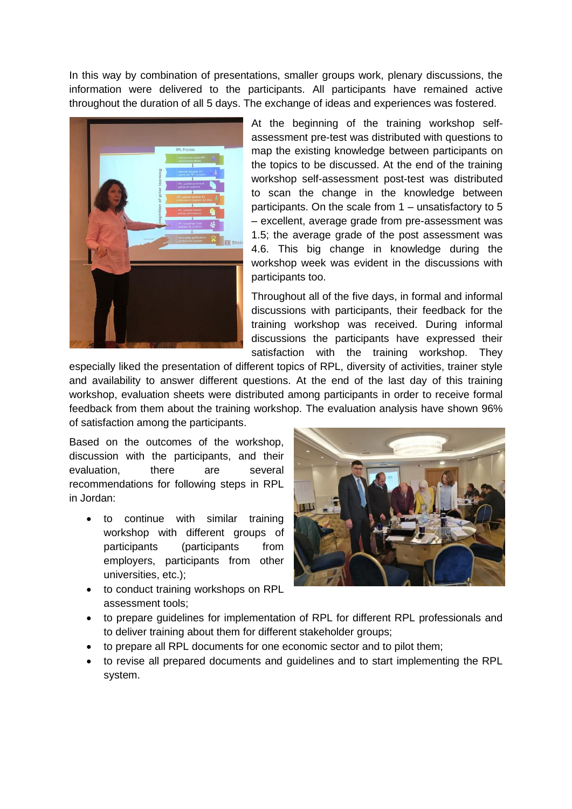In this way by combination of presentations, smaller groups work, plenary discussions, the information were delivered to the participants. All participants have remained active throughout the duration of all 5 days. The exchange of ideas and experiences was fostered.



At the beginning of the training workshop selfassessment pre-test was distributed with questions to map the existing knowledge between participants on the topics to be discussed. At the end of the training workshop self-assessment post-test was distributed to scan the change in the knowledge between participants. On the scale from 1 – unsatisfactory to 5 – excellent, average grade from pre-assessment was 1.5; the average grade of the post assessment was 4.6. This big change in knowledge during the workshop week was evident in the discussions with participants too.

Throughout all of the five days, in formal and informal discussions with participants, their feedback for the training workshop was received. During informal discussions the participants have expressed their satisfaction with the training workshop. They

especially liked the presentation of different topics of RPL, diversity of activities, trainer style and availability to answer different questions. At the end of the last day of this training workshop, evaluation sheets were distributed among participants in order to receive formal feedback from them about the training workshop. The evaluation analysis have shown 96% of satisfaction among the participants.

Based on the outcomes of the workshop, discussion with the participants, and their evaluation, there are several recommendations for following steps in RPL in Jordan:

- to continue with similar training workshop with different groups of participants (participants from employers, participants from other universities, etc.);
- to conduct training workshops on RPL assessment tools;



- to prepare guidelines for implementation of RPL for different RPL professionals and to deliver training about them for different stakeholder groups;
- to prepare all RPL documents for one economic sector and to pilot them;
- to revise all prepared documents and guidelines and to start implementing the RPL system.